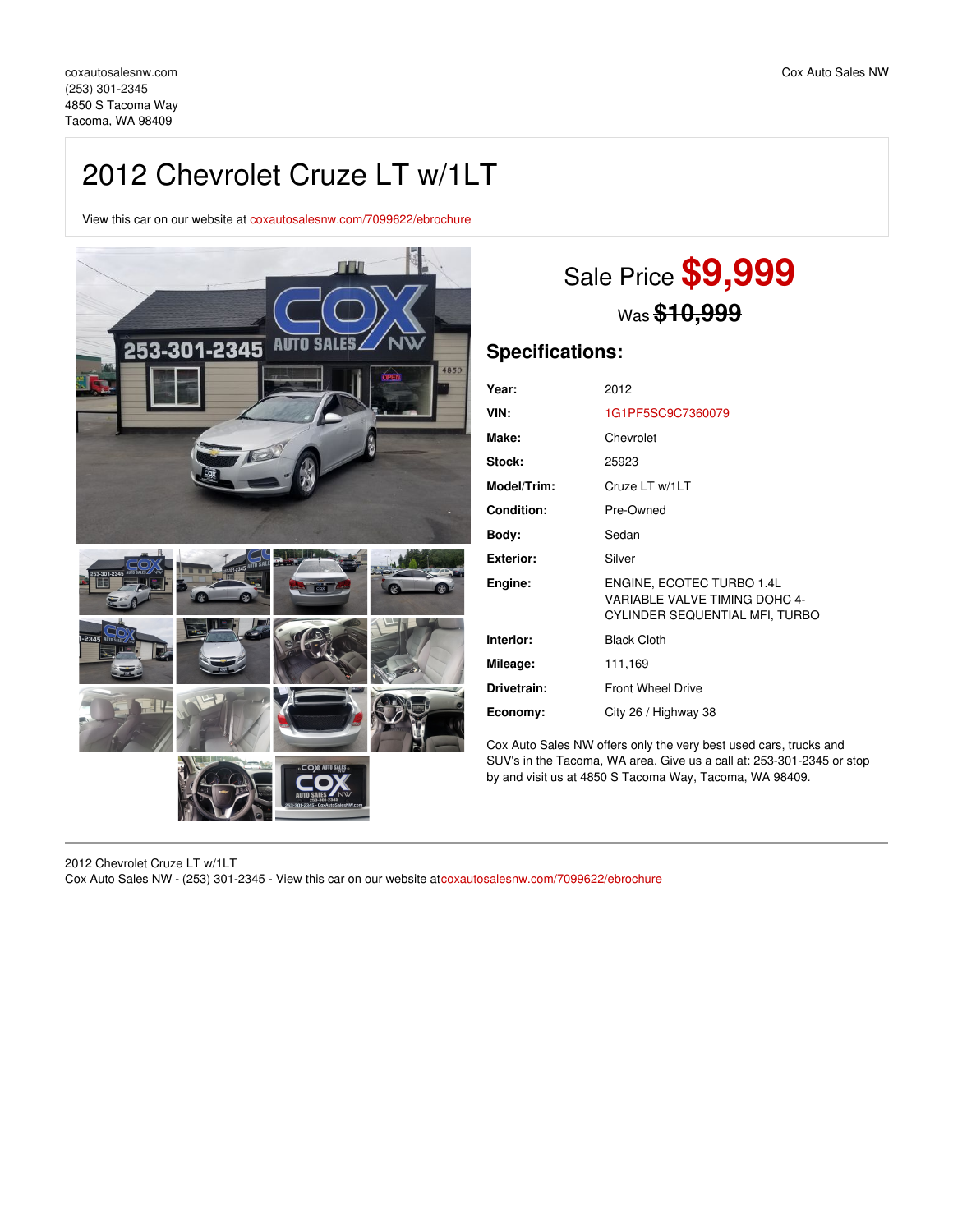# 2012 Chevrolet Cruze LT w/1LT

View this car on our website at [coxautosalesnw.com/7099622/ebrochure](https://coxautosalesnw.com/vehicle/7099622/2012-chevrolet-cruze-lt-w-1lt-tacoma-wa-98409/7099622/ebrochure)



# Sale Price **\$9,999** Was **\$10,999**

## **Specifications:**

| Year:             | 2012                                                                                         |
|-------------------|----------------------------------------------------------------------------------------------|
| VIN:              | 1G1PF5SC9C7360079                                                                            |
| Make:             | Chevrolet                                                                                    |
| Stock:            | 25923                                                                                        |
| Model/Trim:       | Cruze LT w/1LT                                                                               |
| <b>Condition:</b> | Pre-Owned                                                                                    |
| Body:             | Sedan                                                                                        |
| <b>Exterior:</b>  | Silver                                                                                       |
| Engine:           | ENGINE, ECOTEC TURBO 1.4L<br>VARIABLE VALVE TIMING DOHC 4-<br>CYLINDER SEQUENTIAL MFI, TURBO |
| Interior:         | <b>Black Cloth</b>                                                                           |
| Mileage:          | 111,169                                                                                      |
| Drivetrain:       | <b>Front Wheel Drive</b>                                                                     |
| Economy:          | City 26 / Highway 38                                                                         |

Cox Auto Sales NW offers only the very best used cars, trucks and SUV's in the Tacoma, WA area. Give us a call at: 253-301-2345 or stop by and visit us at 4850 S Tacoma Way, Tacoma, WA 98409.

2012 Chevrolet Cruze LT w/1LT Cox Auto Sales NW - (253) 301-2345 - View this car on our website at[coxautosalesnw.com/7099622/ebrochure](https://coxautosalesnw.com/vehicle/7099622/2012-chevrolet-cruze-lt-w-1lt-tacoma-wa-98409/7099622/ebrochure)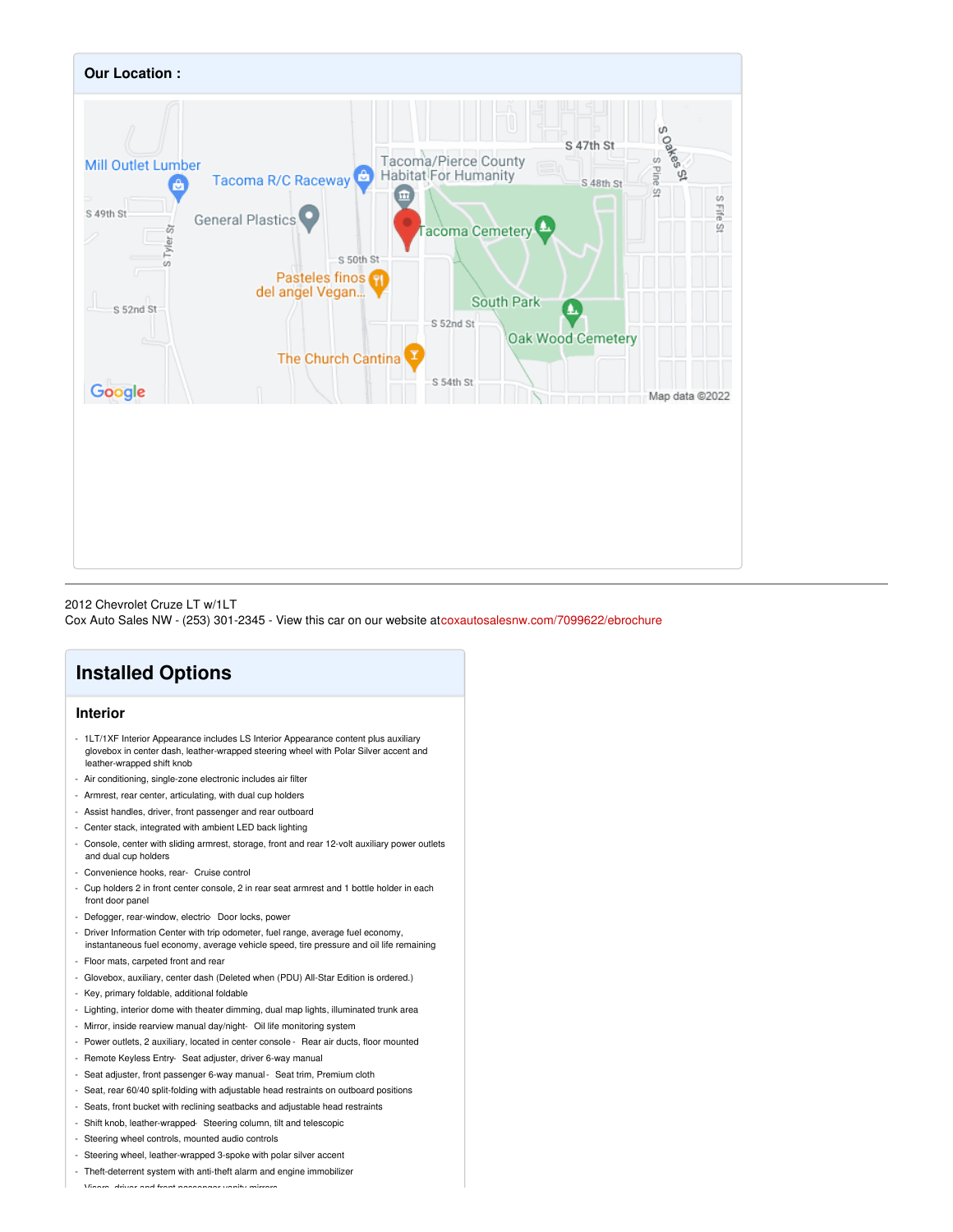

#### 2012 Chevrolet Cruze LT w/1LT

Cox Auto Sales NW - (253) 301-2345 - View this car on our website at[coxautosalesnw.com/7099622/ebrochure](https://coxautosalesnw.com/vehicle/7099622/2012-chevrolet-cruze-lt-w-1lt-tacoma-wa-98409/7099622/ebrochure)

# **Installed Options**

### **Interior**

- 1LT/1XF Interior Appearance includes LS Interior Appearance content plus auxiliary glovebox in center dash, leather-wrapped steering wheel with Polar Silver accent and leather-wrapped shift knob
- Air conditioning, single-zone electronic includes air filter
- Armrest, rear center, articulating, with dual cup holders
- Assist handles, driver, front passenger and rear outboard
- Center stack, integrated with ambient LED back lighting
- Console, center with sliding armrest, storage, front and rear 12-volt auxiliary power outlets and dual cup holders
- Convenience hooks, rear- Cruise control
- Cup holders 2 in front center console, 2 in rear seat armrest and 1 bottle holder in each front door panel
- Defogger, rear-window, electric- Door locks, power
- Driver Information Center with trip odometer, fuel range, average fuel economy, instantaneous fuel economy, average vehicle speed, tire pressure and oil life remaining
- Floor mats, carpeted front and rear
- Glovebox, auxiliary, center dash (Deleted when (PDU) All-Star Edition is ordered.)
- Key, primary foldable, additional foldable
- Lighting, interior dome with theater dimming, dual map lights, illuminated trunk area
- Mirror, inside rearview manual day/night- Oil life monitoring system
- Power outlets, 2 auxiliary, located in center console Rear air ducts, floor mounted
- Remote Keyless Entry- Seat adjuster, driver 6-way manual
- Seat adjuster, front passenger 6-way manual- Seat trim, Premium cloth
- Seat, rear 60/40 split-folding with adjustable head restraints on outboard positions
- Seats, front bucket with reclining seatbacks and adjustable head restraints
- Shift knob, leather-wrapped- Steering column, tilt and telescopic
- Steering wheel controls, mounted audio controls
- Steering wheel, leather-wrapped 3-spoke with polar silver accent
- Theft-deterrent system with anti-theft alarm and engine immobilizer

- Visors, driver and front passenger vanity mirrors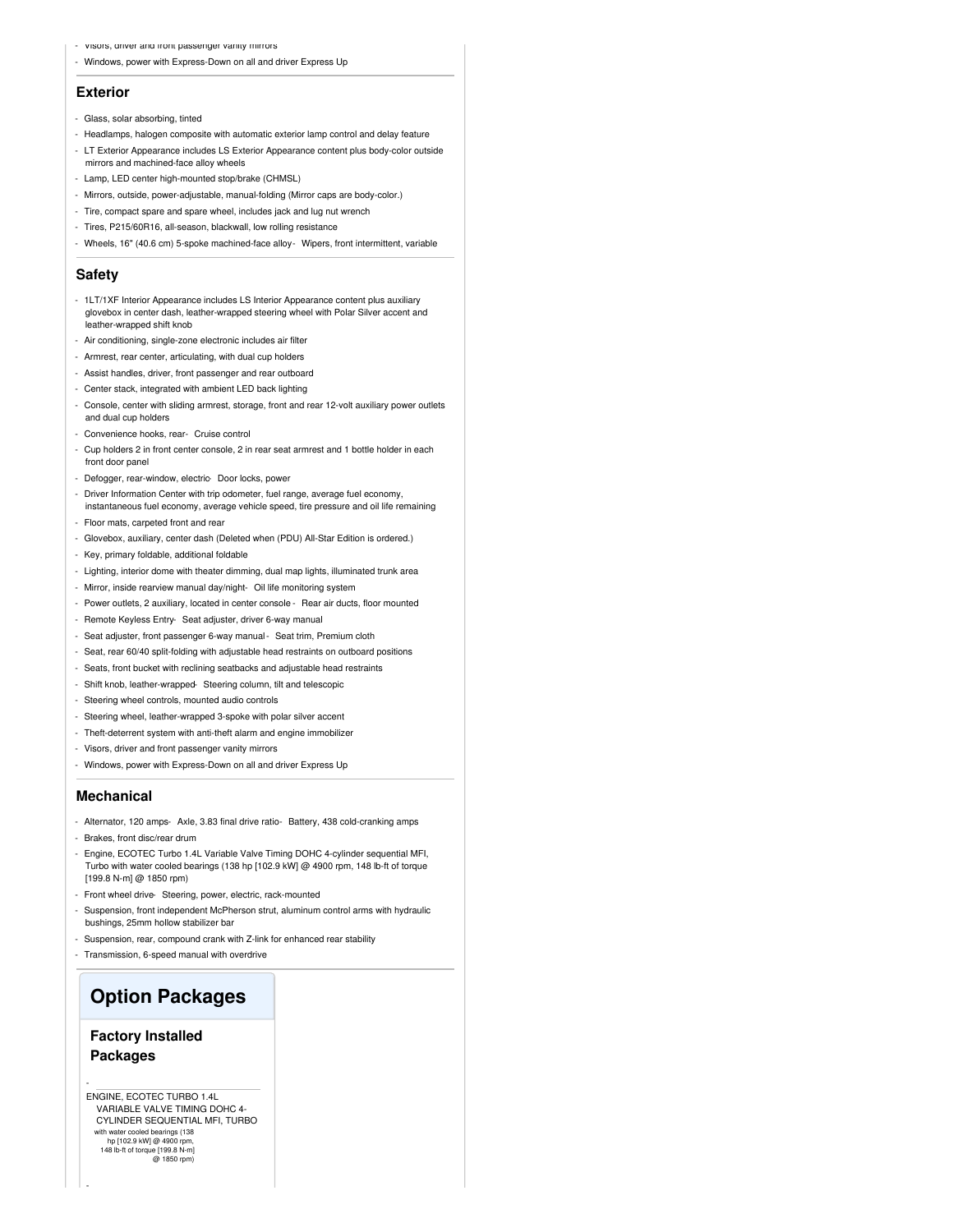- Visors, driver and front passenger vanity mirrors
- Windows, power with Express-Down on all and driver Express Up

#### **Exterior**

- Glass, solar absorbing, tinted
- Headlamps, halogen composite with automatic exterior lamp control and delay feature
- LT Exterior Appearance includes LS Exterior Appearance content plus body-color outside mirrors and machined-face alloy wheels
- Lamp, LED center high-mounted stop/brake (CHMSL)
- Mirrors, outside, power-adjustable, manual-folding (Mirror caps are body-color.)
- Tire, compact spare and spare wheel, includes jack and lug nut wrench
- Tires, P215/60R16, all-season, blackwall, low rolling resistance
- Wheels, 16" (40.6 cm) 5-spoke machined-face alloy- Wipers, front intermittent, variable

#### **Safety**

- 1LT/1XF Interior Appearance includes LS Interior Appearance content plus auxiliary glovebox in center dash, leather-wrapped steering wheel with Polar Silver accent and leather-wrapped shift knob
- Air conditioning, single-zone electronic includes air filter
- Armrest, rear center, articulating, with dual cup holders
- Assist handles, driver, front passenger and rear outboard
- Center stack, integrated with ambient LED back lighting
- Console, center with sliding armrest, storage, front and rear 12-volt auxiliary power outlets and dual cup holders
- Convenience hooks, rear- Cruise control
- Cup holders 2 in front center console, 2 in rear seat armrest and 1 bottle holder in each front door panel
- Defogger, rear-window, electric- Door locks, power
- Driver Information Center with trip odometer, fuel range, average fuel economy, instantaneous fuel economy, average vehicle speed, tire pressure and oil life remaining
- Floor mats, carpeted front and rear
- Glovebox, auxiliary, center dash (Deleted when (PDU) All-Star Edition is ordered.)
- Key, primary foldable, additional foldable
- Lighting, interior dome with theater dimming, dual map lights, illuminated trunk area
- Mirror, inside rearview manual day/night- Oil life monitoring system
- Power outlets, 2 auxiliary, located in center console Rear air ducts, floor mounted
- Remote Keyless Entry- Seat adjuster, driver 6-way manual
- Seat adjuster, front passenger 6-way manual- Seat trim, Premium cloth
- Seat, rear 60/40 split-folding with adjustable head restraints on outboard positions
- Seats, front bucket with reclining seatbacks and adjustable head restraints
- Shift knob, leather-wrapped- Steering column, tilt and telescopic
- Steering wheel controls, mounted audio controls
- Steering wheel, leather-wrapped 3-spoke with polar silver accent
- Theft-deterrent system with anti-theft alarm and engine immobilizer
- Visors, driver and front passenger vanity mirrors
- Windows, power with Express-Down on all and driver Express Up

#### **Mechanical**

- Alternator, 120 amps- Axle, 3.83 final drive ratio- Battery, 438 cold-cranking amps
- Brakes, front disc/rear drum
- Engine, ECOTEC Turbo 1.4L Variable Valve Timing DOHC 4-cylinder sequential MFI, Turbo with water cooled bearings (138 hp [102.9 kW] @ 4900 rpm, 148 lb-ft of torque [199.8 N-m] @ 1850 rpm)
- Front wheel drive- Steering, power, electric, rack-mounted
- Suspension, front independent McPherson strut, aluminum control arms with hydraulic bushings, 25mm hollow stabilizer bar
- Suspension, rear, compound crank with Z-link for enhanced rear stability
- Transmission, 6-speed manual with overdrive

## **Option Packages**

### **Factory Installed Packages**

-

-

ENGINE, ECOTEC TURBO 1.4L VARIABLE VALVE TIMING DOHC 4- CYLINDER SEQUENTIAL MFI, TURBO with water cooled bearings (138 hp [102.9 kW] @ 4900 rpm, 148 lb-ft of torque [199.8 N-m] @ 1850 rpm)